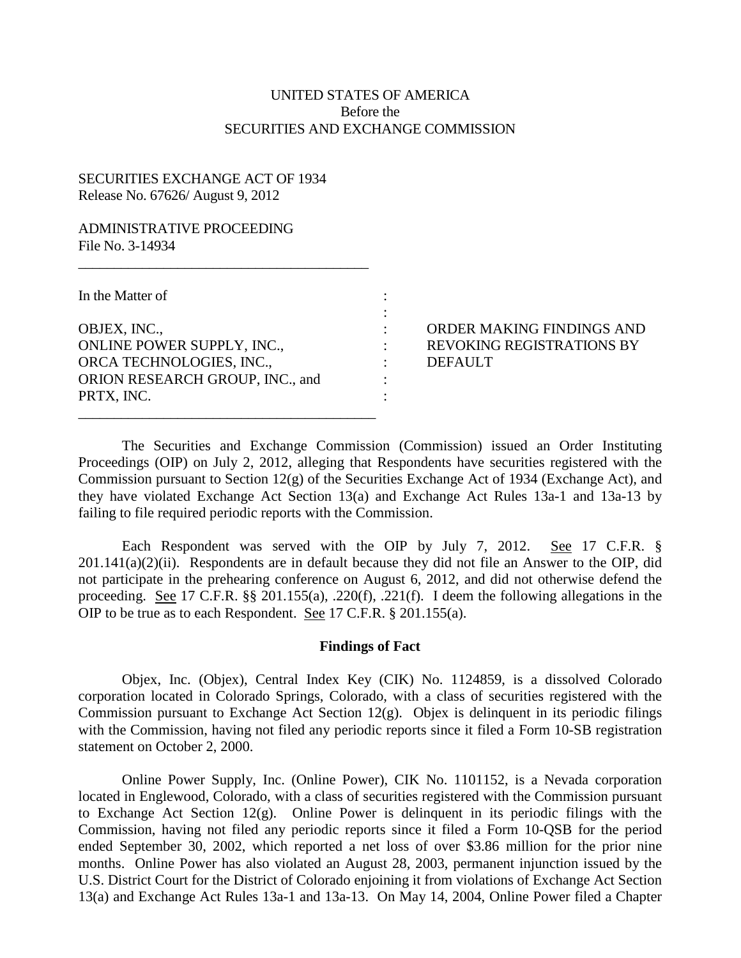## UNITED STATES OF AMERICA Before the SECURITIES AND EXCHANGE COMMISSION

## SECURITIES EXCHANGE ACT OF 1934 Release No. 67626/ August 9, 2012

## ADMINISTRATIVE PROCEEDING File No. 3-14934

| In the Matter of                  |  |
|-----------------------------------|--|
|                                   |  |
| OBJEX, INC.,                      |  |
| <b>ONLINE POWER SUPPLY, INC.,</b> |  |
| ORCA TECHNOLOGIES, INC.,          |  |
| ORION RESEARCH GROUP, INC., and   |  |
| PRTX, INC.                        |  |

\_\_\_\_\_\_\_\_\_\_\_\_\_\_\_\_\_\_\_\_\_\_\_\_\_\_\_\_\_\_\_\_\_\_\_\_\_\_\_\_\_\_

 $\frac{1}{2}$  ,  $\frac{1}{2}$  ,  $\frac{1}{2}$  ,  $\frac{1}{2}$  ,  $\frac{1}{2}$  ,  $\frac{1}{2}$  ,  $\frac{1}{2}$  ,  $\frac{1}{2}$  ,  $\frac{1}{2}$  ,  $\frac{1}{2}$  ,  $\frac{1}{2}$  ,  $\frac{1}{2}$  ,  $\frac{1}{2}$  ,  $\frac{1}{2}$  ,  $\frac{1}{2}$  ,  $\frac{1}{2}$  ,  $\frac{1}{2}$  ,  $\frac{1}{2}$  ,  $\frac{1$ 

: ORDER MAKING FINDINGS AND : REVOKING REGISTRATIONS BY : DEFAULT

The Securities and Exchange Commission (Commission) issued an Order Instituting Proceedings (OIP) on July 2, 2012, alleging that Respondents have securities registered with the Commission pursuant to Section 12(g) of the Securities Exchange Act of 1934 (Exchange Act), and they have violated Exchange Act Section 13(a) and Exchange Act Rules 13a-1 and 13a-13 by failing to file required periodic reports with the Commission.

Each Respondent was served with the OIP by July 7, 2012. See 17 C.F.R. §  $201.141(a)(2)(ii)$ . Respondents are in default because they did not file an Answer to the OIP, did not participate in the prehearing conference on August 6, 2012, and did not otherwise defend the proceeding. See 17 C.F.R. §§ 201.155(a), .220(f), .221(f). I deem the following allegations in the OIP to be true as to each Respondent. See 17 C.F.R. § 201.155(a).

#### **Findings of Fact**

Objex, Inc. (Objex), Central Index Key (CIK) No. 1124859, is a dissolved Colorado corporation located in Colorado Springs, Colorado, with a class of securities registered with the Commission pursuant to Exchange Act Section 12(g). Objex is delinquent in its periodic filings with the Commission, having not filed any periodic reports since it filed a Form 10-SB registration statement on October 2, 2000.

Online Power Supply, Inc. (Online Power), CIK No. 1101152, is a Nevada corporation located in Englewood, Colorado, with a class of securities registered with the Commission pursuant to Exchange Act Section 12(g). Online Power is delinquent in its periodic filings with the Commission, having not filed any periodic reports since it filed a Form 10-QSB for the period ended September 30, 2002, which reported a net loss of over \$3.86 million for the prior nine months. Online Power has also violated an August 28, 2003, permanent injunction issued by the U.S. District Court for the District of Colorado enjoining it from violations of Exchange Act Section 13(a) and Exchange Act Rules 13a-1 and 13a-13. On May 14, 2004, Online Power filed a Chapter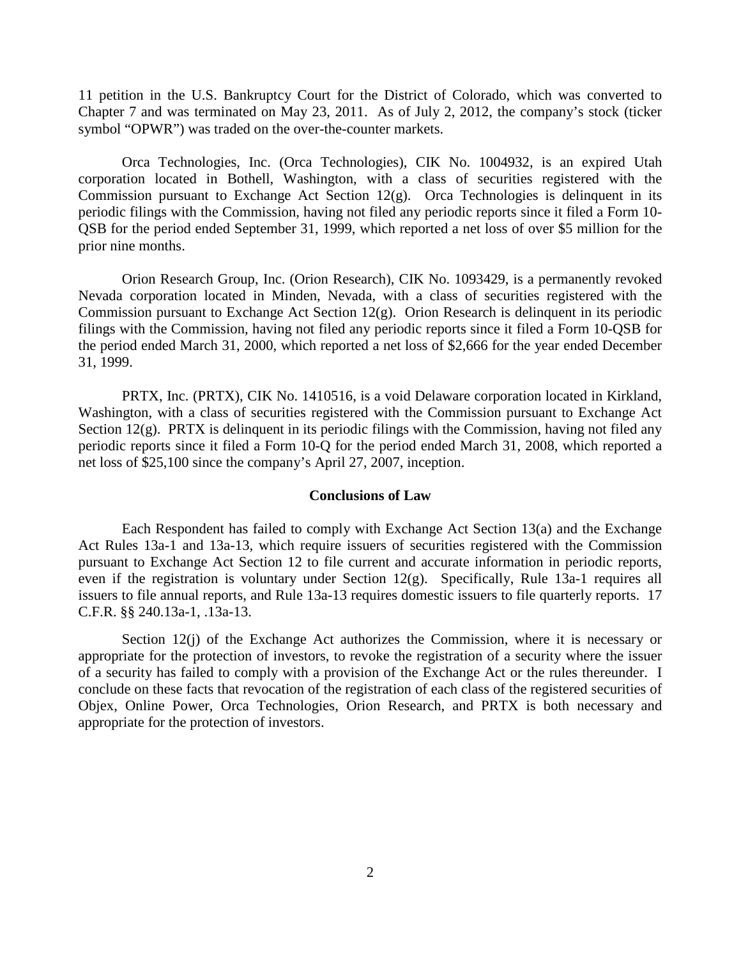11 petition in the U.S. Bankruptcy Court for the District of Colorado, which was converted to Chapter 7 and was terminated on May 23, 2011. As of July 2, 2012, the company's stock (ticker symbol "OPWR") was traded on the over-the-counter markets.

Orca Technologies, Inc. (Orca Technologies), CIK No. 1004932, is an expired Utah corporation located in Bothell, Washington, with a class of securities registered with the Commission pursuant to Exchange Act Section 12(g). Orca Technologies is delinquent in its periodic filings with the Commission, having not filed any periodic reports since it filed a Form 10- QSB for the period ended September 31, 1999, which reported a net loss of over \$5 million for the prior nine months.

Orion Research Group, Inc. (Orion Research), CIK No. 1093429, is a permanently revoked Nevada corporation located in Minden, Nevada, with a class of securities registered with the Commission pursuant to Exchange Act Section 12(g). Orion Research is delinquent in its periodic filings with the Commission, having not filed any periodic reports since it filed a Form 10-QSB for the period ended March 31, 2000, which reported a net loss of \$2,666 for the year ended December 31, 1999.

PRTX, Inc. (PRTX), CIK No. 1410516, is a void Delaware corporation located in Kirkland, Washington, with a class of securities registered with the Commission pursuant to Exchange Act Section  $12(g)$ . PRTX is delinquent in its periodic filings with the Commission, having not filed any periodic reports since it filed a Form 10-Q for the period ended March 31, 2008, which reported a net loss of \$25,100 since the company's April 27, 2007, inception.

#### **Conclusions of Law**

Each Respondent has failed to comply with Exchange Act Section 13(a) and the Exchange Act Rules 13a-1 and 13a-13, which require issuers of securities registered with the Commission pursuant to Exchange Act Section 12 to file current and accurate information in periodic reports, even if the registration is voluntary under Section 12(g). Specifically, Rule 13a-1 requires all issuers to file annual reports, and Rule 13a-13 requires domestic issuers to file quarterly reports. 17 C.F.R. §§ 240.13a-1, .13a-13.

Section 12(j) of the Exchange Act authorizes the Commission, where it is necessary or appropriate for the protection of investors, to revoke the registration of a security where the issuer of a security has failed to comply with a provision of the Exchange Act or the rules thereunder. I conclude on these facts that revocation of the registration of each class of the registered securities of Objex, Online Power, Orca Technologies, Orion Research, and PRTX is both necessary and appropriate for the protection of investors.